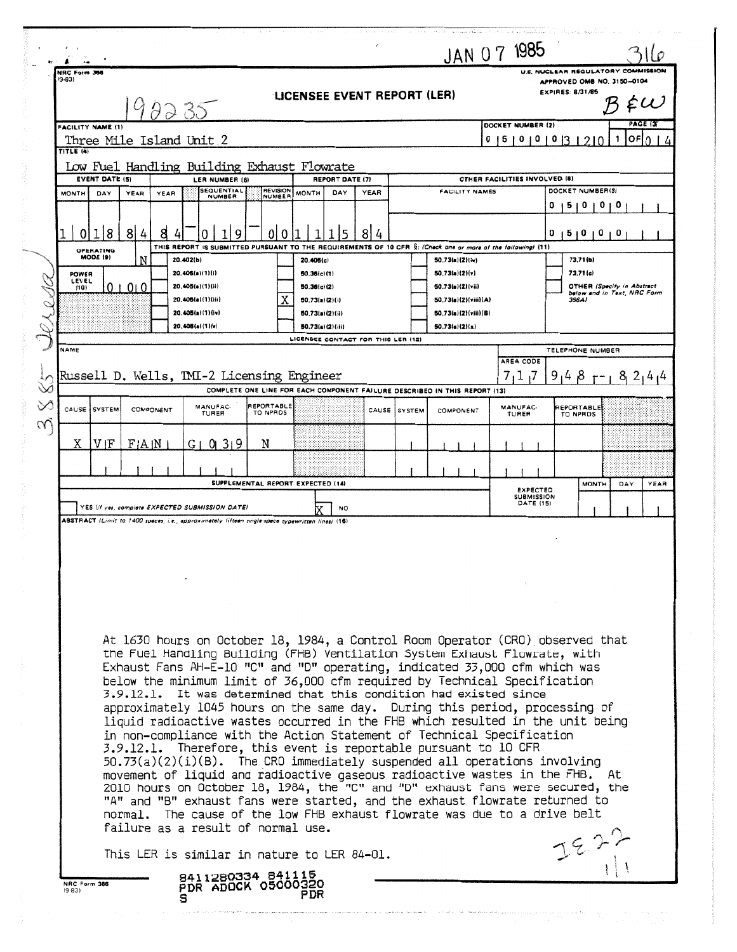|                                              |                          |                                                                                                  |                 |                                                                                                                                                                                                                                                                                                                                                                                                                                                                                                                                                                                                                                                                                                                                                                                                                                                                                                                                                                                                                                                                                                                                                                          |      |              | JAN 07 1985                              |         |                                       |                         |                                                                           |            |          |
|----------------------------------------------|--------------------------|--------------------------------------------------------------------------------------------------|-----------------|--------------------------------------------------------------------------------------------------------------------------------------------------------------------------------------------------------------------------------------------------------------------------------------------------------------------------------------------------------------------------------------------------------------------------------------------------------------------------------------------------------------------------------------------------------------------------------------------------------------------------------------------------------------------------------------------------------------------------------------------------------------------------------------------------------------------------------------------------------------------------------------------------------------------------------------------------------------------------------------------------------------------------------------------------------------------------------------------------------------------------------------------------------------------------|------|--------------|------------------------------------------|---------|---------------------------------------|-------------------------|---------------------------------------------------------------------------|------------|----------|
| NRC Form 356<br>$(9-83)$                     | 98235                    |                                                                                                  |                 | LICENSEE EVENT REPORT (LER)                                                                                                                                                                                                                                                                                                                                                                                                                                                                                                                                                                                                                                                                                                                                                                                                                                                                                                                                                                                                                                                                                                                                              |      |              |                                          |         |                                       | <b>EXPIRES: 8/31/85</b> | U.S. NUCLEAR REGULATORY COMMISSION<br>APPROVED OMB NO. 3150-0104          |            |          |
| <b>FACILITY NAME (1)</b>                     | Three Mile Island Unit 2 |                                                                                                  |                 |                                                                                                                                                                                                                                                                                                                                                                                                                                                                                                                                                                                                                                                                                                                                                                                                                                                                                                                                                                                                                                                                                                                                                                          |      |              |                                          | 0<br>51 | DOCKET NUMBER (2)<br>0<br>0           | 0                       | 2 I O                                                                     | OFI N<br>1 | PAGE (3) |
| TITLE (4)                                    |                          | Low Fuel Handling Building Exhaust Flowrate                                                      |                 |                                                                                                                                                                                                                                                                                                                                                                                                                                                                                                                                                                                                                                                                                                                                                                                                                                                                                                                                                                                                                                                                                                                                                                          |      |              |                                          |         |                                       |                         |                                                                           |            |          |
| <b>EVENT DATE (5)</b><br><b>MONTH</b><br>DAY | YEAR<br>YEAR             | LER NUMBER (6)<br><b>SEQUENTIAL</b>                                                              | <b>REVISION</b> | <b>REPORT DATE (7)</b><br>DAY<br><b>MONTH</b>                                                                                                                                                                                                                                                                                                                                                                                                                                                                                                                                                                                                                                                                                                                                                                                                                                                                                                                                                                                                                                                                                                                            | YEAR |              | <b>FACILITY NAMES</b>                    |         | OTHER FACILITIES INVOLVED. (8)        |                         | DOCKET NUMBER(S)                                                          |            |          |
|                                              |                          | <b>NUMBER</b>                                                                                    | <b>NUMBER</b>   |                                                                                                                                                                                                                                                                                                                                                                                                                                                                                                                                                                                                                                                                                                                                                                                                                                                                                                                                                                                                                                                                                                                                                                          |      |              |                                          |         |                                       | o<br>ь                  | 0<br>$\mathbf o$                                                          | o          |          |
| 18<br>0<br>OPERATING                         | 8<br>4<br>8              | Q                                                                                                | 0<br>0          | THIS REPORT IS SUBMITTED PURSUANT TO THE REQUIREMENTS OF 10 CFR §: (Check one or more of the following) (11)                                                                                                                                                                                                                                                                                                                                                                                                                                                                                                                                                                                                                                                                                                                                                                                                                                                                                                                                                                                                                                                             | 8    |              |                                          |         |                                       | 0                       | 510101                                                                    | 0          |          |
| MODE (9)<br>POWER                            | N                        | 20.402(b)<br>20.405(a)(1)(i)                                                                     |                 | 20.405(c)<br>50.36(c)(1)                                                                                                                                                                                                                                                                                                                                                                                                                                                                                                                                                                                                                                                                                                                                                                                                                                                                                                                                                                                                                                                                                                                                                 |      |              | 50.73(a)(2)(iv)<br>50.73(a)(2)(v)        |         |                                       |                         | 73,71(b)<br>73.71(c)                                                      |            |          |
| LEVEL<br>(10)                                | $0 + 010$                | 20.405(a)(1)(ii)<br>20.405(a)(1)(iii)                                                            |                 | 50.36(c)(2)<br>50,73(n)(2)(i)                                                                                                                                                                                                                                                                                                                                                                                                                                                                                                                                                                                                                                                                                                                                                                                                                                                                                                                                                                                                                                                                                                                                            |      |              | 50.73(a)(2)(vii)<br>50.73(a)(2)(viii)(A) |         |                                       |                         | <b>OTHER (Specify in Abstract</b><br>below and in Text, NRC Form<br>366A1 |            |          |
|                                              |                          | 20.405(a)(1)(iv)<br>20.406(a)(1)(v)                                                              |                 | 50.73(a)(2)(ii)<br>50.73(a)(2)(iii)                                                                                                                                                                                                                                                                                                                                                                                                                                                                                                                                                                                                                                                                                                                                                                                                                                                                                                                                                                                                                                                                                                                                      |      |              | 50.73(a)(2)(viii)(B)<br>50.73(a)(2)(x)   |         |                                       |                         |                                                                           |            |          |
| NAME                                         |                          |                                                                                                  |                 | LICENSEE CONTACT FOR THIS LER (12)                                                                                                                                                                                                                                                                                                                                                                                                                                                                                                                                                                                                                                                                                                                                                                                                                                                                                                                                                                                                                                                                                                                                       |      |              |                                          |         |                                       |                         | TELEPHONE NUMBER                                                          |            |          |
|                                              |                          | Russell D. Wells, TMI-2 Licensing Engineer                                                       |                 |                                                                                                                                                                                                                                                                                                                                                                                                                                                                                                                                                                                                                                                                                                                                                                                                                                                                                                                                                                                                                                                                                                                                                                          |      |              |                                          | 7       | AREA CODE<br>117                      |                         | $9148$ $-182141$                                                          |            |          |
|                                              |                          | MANUFAC-                                                                                         | REPORTABLE      | COMPLETE ONE LINE FOR EACH COMPONENT FAILURE DESCRIBED IN THIS REPORT (13)                                                                                                                                                                                                                                                                                                                                                                                                                                                                                                                                                                                                                                                                                                                                                                                                                                                                                                                                                                                                                                                                                               |      |              |                                          |         | MANUFAC-                              |                         | REPORTABLE                                                                |            |          |
| CAUSE SYSTEM                                 | COMPONENT                | <b>TURER</b>                                                                                     | TO NPRDS        |                                                                                                                                                                                                                                                                                                                                                                                                                                                                                                                                                                                                                                                                                                                                                                                                                                                                                                                                                                                                                                                                                                                                                                          |      | CAUSE SYSTEM | COMPONENT                                |         | TURER                                 |                         | TO NPRDS                                                                  |            |          |
| V IF<br>Χ                                    | FIA IN                   | GI01319                                                                                          | N               |                                                                                                                                                                                                                                                                                                                                                                                                                                                                                                                                                                                                                                                                                                                                                                                                                                                                                                                                                                                                                                                                                                                                                                          |      |              |                                          |         |                                       |                         |                                                                           |            |          |
|                                              |                          |                                                                                                  |                 | SUPPLEMENTAL REPORT EXPECTED (14)                                                                                                                                                                                                                                                                                                                                                                                                                                                                                                                                                                                                                                                                                                                                                                                                                                                                                                                                                                                                                                                                                                                                        |      |              |                                          |         | <b>EXPECTED</b>                       |                         | <b>MONTH</b>                                                              | DAY        | YEAR     |
|                                              |                          | YES (If yes, complete EXPECTED SUBMISSION DATE)                                                  |                 | NO.                                                                                                                                                                                                                                                                                                                                                                                                                                                                                                                                                                                                                                                                                                                                                                                                                                                                                                                                                                                                                                                                                                                                                                      |      |              |                                          |         | <b>SUBMISSION</b><br><b>DATE (15)</b> |                         |                                                                           |            |          |
|                                              |                          | ABSTRACT (Limit to 1400 spaces, i.e., approximately fifteen single-space typewritten lines) (16) |                 |                                                                                                                                                                                                                                                                                                                                                                                                                                                                                                                                                                                                                                                                                                                                                                                                                                                                                                                                                                                                                                                                                                                                                                          |      |              |                                          |         |                                       |                         |                                                                           |            |          |
|                                              |                          |                                                                                                  |                 |                                                                                                                                                                                                                                                                                                                                                                                                                                                                                                                                                                                                                                                                                                                                                                                                                                                                                                                                                                                                                                                                                                                                                                          |      |              |                                          |         |                                       |                         |                                                                           |            |          |
|                                              |                          |                                                                                                  |                 |                                                                                                                                                                                                                                                                                                                                                                                                                                                                                                                                                                                                                                                                                                                                                                                                                                                                                                                                                                                                                                                                                                                                                                          |      |              |                                          |         |                                       |                         |                                                                           |            |          |
|                                              |                          |                                                                                                  |                 |                                                                                                                                                                                                                                                                                                                                                                                                                                                                                                                                                                                                                                                                                                                                                                                                                                                                                                                                                                                                                                                                                                                                                                          |      |              |                                          |         |                                       |                         |                                                                           |            |          |
|                                              |                          | failure as a result of normal use.                                                               |                 | At 1630 hours on October 18, 1984, a Control Room Operator (CRO) observed that<br>the Fuel Handling Building (FHB) Ventilation System Exhaust Flowrate, with<br>Exhaust Fans AH-E-10 "C" and "D" operating, indicated 33,000 cfm which was<br>below the minimum limit of 36,000 cfm required by Technical Specification<br>3.9.12.1. It was determined that this condition had existed since<br>approximately 1045 hours on the same day. During this period, processing of<br>liquid radioactive wastes occurred in the FHB which resulted in the unit being<br>in non-compliance with the Action Statement of Technical Specification<br>3.9.12.1. Therefore, this event is reportable pursuant to 10 CFR<br>$50.73(a)(2)(i)(B)$ . The CRO immediately suspended all operations involving<br>movement of liquid and radioactive gaseous radioactive wastes in the FHB. At<br>2010 hours on October 18, 1984, the "C" and "D" exhaust fans were secured, the<br>"A" and "B" exhaust fans were started, and the exhaust flowrate returned to<br>normal. The cause of the low FHB exhaust flowrate was due to a drive belt<br>This LER is similar in nature to LER 84-01. |      |              |                                          |         |                                       |                         |                                                                           |            |          |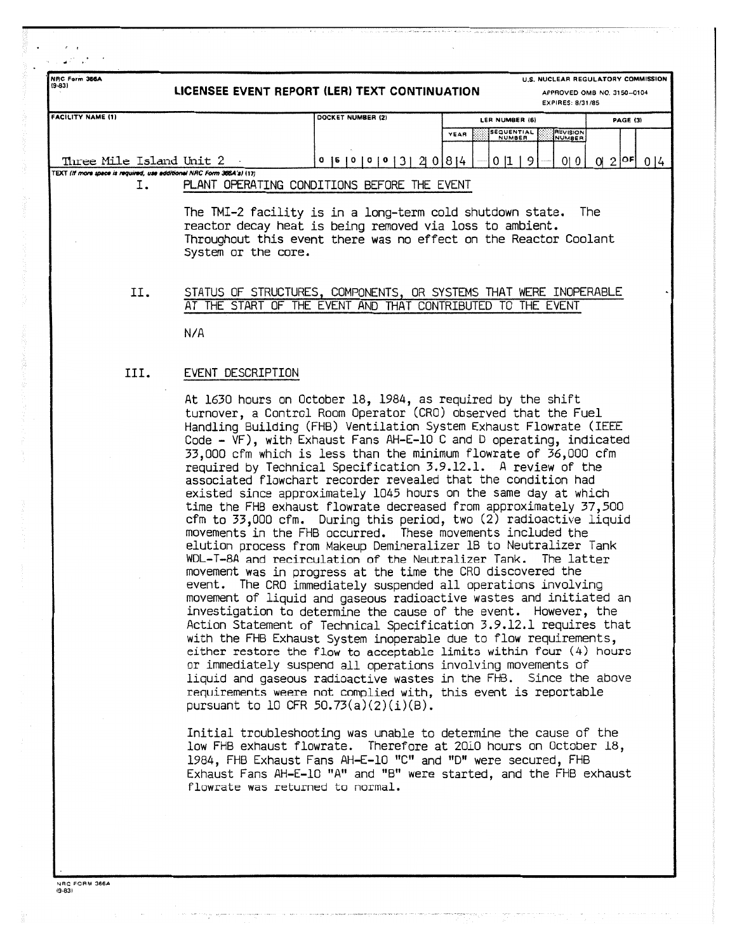| U.S. NUCLEAR REGULATORY COMMISSION<br>NRC Form 366A<br>$(9-83)$<br>LICENSEE EVENT REPORT (LER) TEXT CONTINUATION<br>APPROVED OMB NO. 3150-0104<br><b>EXPIRES: 8/31/85</b><br><b>FACILITY NAME (1)</b><br>DOCKET NUMBER (2)<br><b>PAGE (3)</b><br>LER NUMBER (6) |                     |                                                                                                                                                                                                                                                                                                                                                                                                                                                                                                                                                                                                                                                                                                                                                                                                                                                                                                  |                                     |                           |                  |  |
|-----------------------------------------------------------------------------------------------------------------------------------------------------------------------------------------------------------------------------------------------------------------|---------------------|--------------------------------------------------------------------------------------------------------------------------------------------------------------------------------------------------------------------------------------------------------------------------------------------------------------------------------------------------------------------------------------------------------------------------------------------------------------------------------------------------------------------------------------------------------------------------------------------------------------------------------------------------------------------------------------------------------------------------------------------------------------------------------------------------------------------------------------------------------------------------------------------------|-------------------------------------|---------------------------|------------------|--|
|                                                                                                                                                                                                                                                                 |                     |                                                                                                                                                                                                                                                                                                                                                                                                                                                                                                                                                                                                                                                                                                                                                                                                                                                                                                  |                                     |                           |                  |  |
|                                                                                                                                                                                                                                                                 |                     |                                                                                                                                                                                                                                                                                                                                                                                                                                                                                                                                                                                                                                                                                                                                                                                                                                                                                                  | <b>SEQUENTIAL</b><br>YEAR<br>NUMBER | <b>REVISION</b><br>NUMBER |                  |  |
| Three Mile Island Unit 2                                                                                                                                                                                                                                        |                     | 0   5   0   0   0   3   2   0   8   4                                                                                                                                                                                                                                                                                                                                                                                                                                                                                                                                                                                                                                                                                                                                                                                                                                                            | 01119                               | 0 0                       | $012$ $0F$ $014$ |  |
| TEXT (If more space is required, use additional NRC Form 366A's) (17)                                                                                                                                                                                           |                     |                                                                                                                                                                                                                                                                                                                                                                                                                                                                                                                                                                                                                                                                                                                                                                                                                                                                                                  |                                     |                           |                  |  |
| 1.                                                                                                                                                                                                                                                              |                     | PLANT OPERATING CONDITIONS BEFORE THE EVENT                                                                                                                                                                                                                                                                                                                                                                                                                                                                                                                                                                                                                                                                                                                                                                                                                                                      |                                     |                           |                  |  |
|                                                                                                                                                                                                                                                                 | System or the core. | The TMI-2 facility is in a long-term cold shutdown state.<br>reactor decay heat is being removed via loss to ambient.<br>Throughout this event there was no effect on the Reactor Coolant                                                                                                                                                                                                                                                                                                                                                                                                                                                                                                                                                                                                                                                                                                        |                                     |                           | <b>The</b>       |  |
| II.                                                                                                                                                                                                                                                             | N/A                 | STATUS OF STRUCTURES, COMPONENTS, OR SYSTEMS THAT WERE INOPERABLE<br>AT THE START OF THE EVENT AND THAT CONTRIBUTED TO THE EVENT                                                                                                                                                                                                                                                                                                                                                                                                                                                                                                                                                                                                                                                                                                                                                                 |                                     |                           |                  |  |
| III.                                                                                                                                                                                                                                                            | EVENT DESCRIPTION   |                                                                                                                                                                                                                                                                                                                                                                                                                                                                                                                                                                                                                                                                                                                                                                                                                                                                                                  |                                     |                           |                  |  |
|                                                                                                                                                                                                                                                                 |                     | At 1630 hours on October 18, 1984, as required by the shift<br>turnover, a Control Room Operator (CRO) observed that the Fuel<br>Handling Building (FHB) Ventilation System Exhaust Flowrate (IEEE<br>Code - VF), with Exhaust Fans AH-E-10 C and D operating, indicated<br>33,000 cfm which is less than the minimum flowrate of 36,000 cfm<br>required by Technical Specification 3.9.12.1. A review of the<br>associated flowchart recorder revealed that the condition had<br>existed since approximately 1045 hours on the same day at which<br>time the FHB exhaust flowrate decreased from approximately 37,500<br>cfm to 33,000 cfm. During this period, two (2) radioactive liquid<br>movements in the FHB occurred. These movements included the<br>elution process from Makeup Demineralizer 1B to Neutralizer Tank<br>WDL-T-8A and recirculation of the Neutralizer Tank. The latter |                                     |                           |                  |  |

WDL-T-8A and recirculation of the Neutralizer Tank. The latter movement was in progress at the time the CRU discovered the event. The CRO immediately suspended all operations involving movement of liquid and gaseous radioactive wastes and initiated an investigation to determine the cause of the event. However, the Action Statement of Technical Specification 3.9.12.1 requires that with the FHB Exhaust System inoperable due to flow requirements, either restore the flow to acceptable limits within four (4) hours or immediately suspend all operations involving movements of liquid and gaseous radioactive wastes in the FHB. Since the above requirements weere not complied with, this event is reportable pursuant to 10 CFR  $50.73(a)(2)(i)(B)$ .

Initial troubleshooting was unable to determine the cause of the low FHB exhaust flowrate. Therefore at 2010 hours on October 18, 1984, FHB Exhaust Fans AH-E-10 "C" and "D" were secured, FHB Exhaust Fans AH-E-10 "A" and "B" were started, and the FHB exhaust flowrate was returned to normal.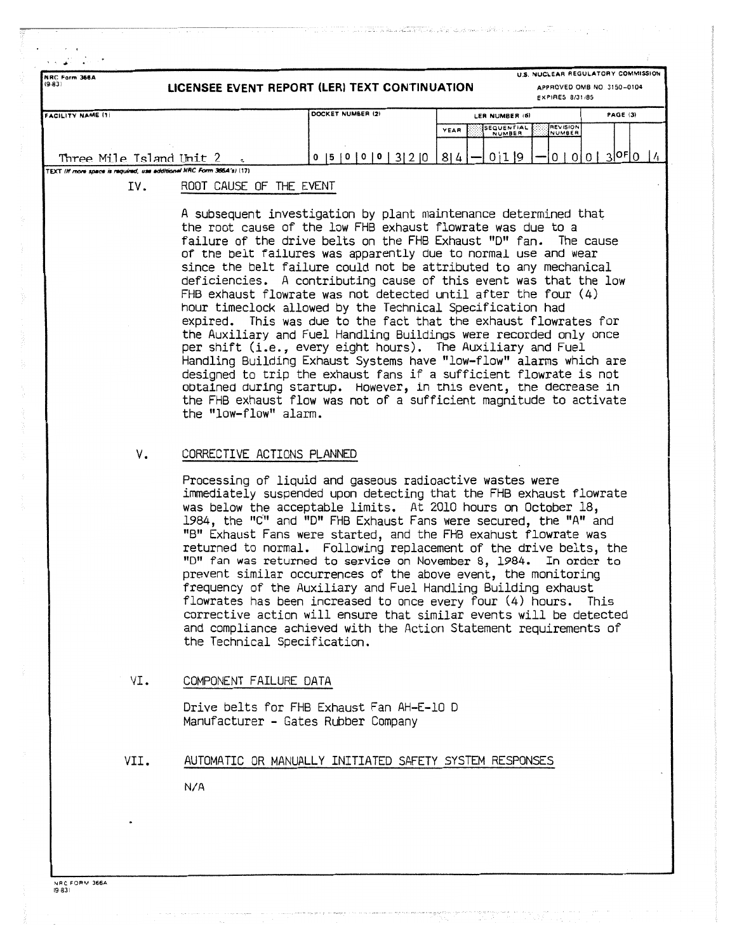| NRC Form 366A<br>(9.83)                                                |                              | LICENSEE EVENT REPORT (LER) TEXT CONTINUATION                                                                                                                                                                                                                                                                                                                                                                                                                                                                                                                                                                                                                                                                                                                                                                                                                                                                                                                                                                                                 |                              | U.S. NUCLEAR REGULATORY COMMISSION<br>APPROVED OMB NO. 3150-0104<br>EXPIRES 8/31/85 |               |
|------------------------------------------------------------------------|------------------------------|-----------------------------------------------------------------------------------------------------------------------------------------------------------------------------------------------------------------------------------------------------------------------------------------------------------------------------------------------------------------------------------------------------------------------------------------------------------------------------------------------------------------------------------------------------------------------------------------------------------------------------------------------------------------------------------------------------------------------------------------------------------------------------------------------------------------------------------------------------------------------------------------------------------------------------------------------------------------------------------------------------------------------------------------------|------------------------------|-------------------------------------------------------------------------------------|---------------|
| <b>FACILITY NAME (1)</b>                                               |                              | DOCKET NUMBER (2)                                                                                                                                                                                                                                                                                                                                                                                                                                                                                                                                                                                                                                                                                                                                                                                                                                                                                                                                                                                                                             | LER NUMBER (8)               | PAGE (3)                                                                            |               |
|                                                                        |                              |                                                                                                                                                                                                                                                                                                                                                                                                                                                                                                                                                                                                                                                                                                                                                                                                                                                                                                                                                                                                                                               | SEQUENTIAL<br>YEAR<br>NUMBER | <b>REVISION</b><br>NUMBER                                                           |               |
| Three Mile Island Unit 2                                               |                              | 0  5  0  0  0  3  2  0                                                                                                                                                                                                                                                                                                                                                                                                                                                                                                                                                                                                                                                                                                                                                                                                                                                                                                                                                                                                                        | 0119<br>8 4                  | $0   0   0   3  $ <sup>OF</sup> $  0$                                               | $\frac{1}{4}$ |
| TEXT (If more space is required, use additional NRC Form 366.4's) (17) |                              |                                                                                                                                                                                                                                                                                                                                                                                                                                                                                                                                                                                                                                                                                                                                                                                                                                                                                                                                                                                                                                               |                              |                                                                                     |               |
| IV.                                                                    | ROOT CAUSE OF THE EVENT      |                                                                                                                                                                                                                                                                                                                                                                                                                                                                                                                                                                                                                                                                                                                                                                                                                                                                                                                                                                                                                                               |                              |                                                                                     |               |
|                                                                        | the "low-flow" alarm.        | A subsequent investigation by plant maintenance determined that<br>the root cause of the low FHB exhaust flowrate was due to a<br>failure of the drive belts on the FHB Exhaust "D" fan. The cause<br>of the belt failures was apparently due to normal use and wear<br>since the belt failure could not be attributed to any mechanical<br>deficiencies. A contributing cause of this event was that the low<br>$FHB$ exhaust flowrate was not detected until after the four $(4)$<br>hour timeclock allowed by the Technical Specification had<br>expired. This was due to the fact that the exhaust flowrates for<br>the Auxiliary and Fuel Handling Buildings were recorded only once<br>per shift (i.e., every eight hours). The Auxiliary and Fuel<br>Handling Building Exhaust Systems have "low-flow" alarms which are<br>designed to trip the exhaust fans if a sufficient flowrate is not<br>obtained during startup. However, in this event, the decrease in<br>the FHB exhaust flow was not of a sufficient magnitude to activate |                              |                                                                                     |               |
| ٧.                                                                     | CORRECTIVE ACTIONS PLANNED   |                                                                                                                                                                                                                                                                                                                                                                                                                                                                                                                                                                                                                                                                                                                                                                                                                                                                                                                                                                                                                                               |                              |                                                                                     |               |
|                                                                        | the Technical Specification. | Processing of liquid and gaseous radioactive wastes were<br>immediately suspended upon detecting that the FHB exhaust flowrate<br>was below the acceptable limits. At 2010 hours on October 18,<br>1984, the "C" and "D" FHB Exhaust Fans were secured, the "A" and<br>"B" Exhaust Fans were started, and the FHB exahust flowrate was<br>returned to normal. Following replacement of the drive belts, the<br>"D" fan was returned to service on November 8, 1984. In order to<br>prevent similar occurrences of the above event, the monitoring<br>frequency of the Auxiliary and Fuel Handling Building exhaust<br>flowrates has been increased to once every four (4) hours. This<br>corrective action will ensure that similar events will be detected<br>and compliance achieved with the Action Statement requirements of                                                                                                                                                                                                              |                              |                                                                                     |               |
| VI.                                                                    | COMPONENT FAILURE DATA       |                                                                                                                                                                                                                                                                                                                                                                                                                                                                                                                                                                                                                                                                                                                                                                                                                                                                                                                                                                                                                                               |                              |                                                                                     |               |
|                                                                        |                              | Drive belts for FHB Exhaust Fan AH-E-10 D<br>Manufacturer - Gates Rubber Company                                                                                                                                                                                                                                                                                                                                                                                                                                                                                                                                                                                                                                                                                                                                                                                                                                                                                                                                                              |                              |                                                                                     |               |
| VII.                                                                   |                              | AUTOMATIC OR MANUALLY INITIATED SAFETY SYSTEM RESPONSES                                                                                                                                                                                                                                                                                                                                                                                                                                                                                                                                                                                                                                                                                                                                                                                                                                                                                                                                                                                       |                              |                                                                                     |               |
|                                                                        | N/A                          |                                                                                                                                                                                                                                                                                                                                                                                                                                                                                                                                                                                                                                                                                                                                                                                                                                                                                                                                                                                                                                               |                              |                                                                                     |               |
|                                                                        |                              |                                                                                                                                                                                                                                                                                                                                                                                                                                                                                                                                                                                                                                                                                                                                                                                                                                                                                                                                                                                                                                               |                              |                                                                                     |               |
|                                                                        |                              |                                                                                                                                                                                                                                                                                                                                                                                                                                                                                                                                                                                                                                                                                                                                                                                                                                                                                                                                                                                                                                               |                              |                                                                                     |               |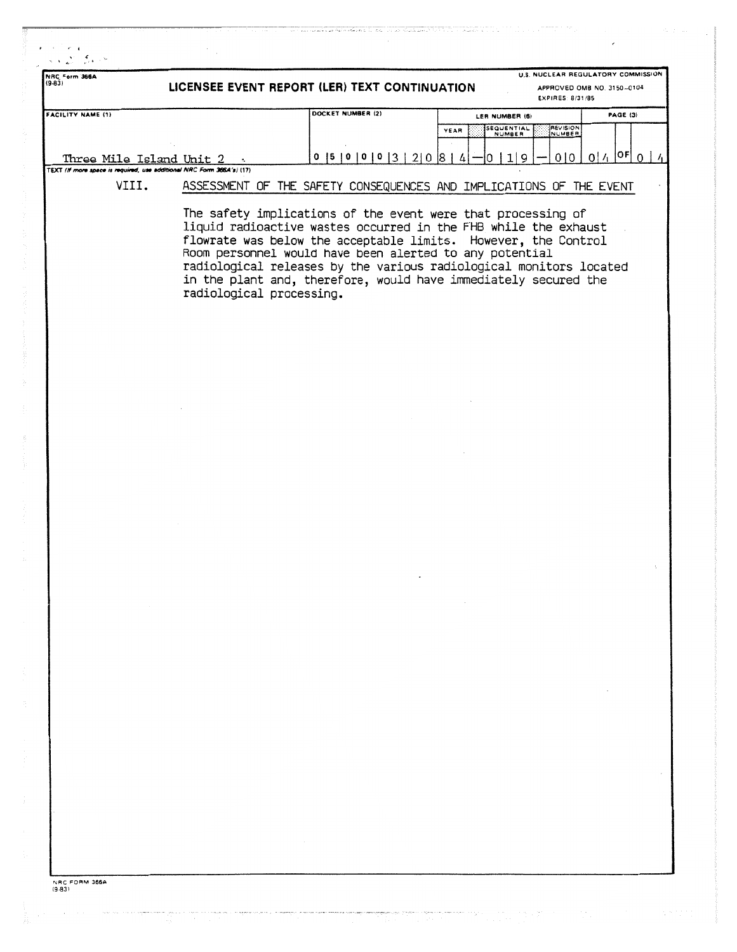| NRC Form 366A<br>(9.83)  |                          | U.S. NUCLEAR REGULATORY COMMISSION<br>LICENSEE EVENT REPORT (LER) TEXT CONTINUATION<br>APPROVED OMB NO. 3150-0104<br><b>EXPIRES: 8/31/85</b> |                                                                                                                                                                                                                                                                                                                                                                                                       |                                                |                                       |  |
|--------------------------|--------------------------|----------------------------------------------------------------------------------------------------------------------------------------------|-------------------------------------------------------------------------------------------------------------------------------------------------------------------------------------------------------------------------------------------------------------------------------------------------------------------------------------------------------------------------------------------------------|------------------------------------------------|---------------------------------------|--|
| <b>FACILITY NAME (1)</b> |                          |                                                                                                                                              | DOCKET NUMBER (2)                                                                                                                                                                                                                                                                                                                                                                                     | LER NUMBER (6)<br>SEQUENTIAL<br>NUMBER<br>YEAR | PAGE (3)<br><b>REVISION</b><br>NUMBER |  |
|                          | Three Mile Island Unit 2 | TEXT (If more space is required, use additional NRC Form 366A's) (17)                                                                        | $0$  5   0   0   0   3   2   0   8   4                                                                                                                                                                                                                                                                                                                                                                | 1 9<br>10                                      | $0^{1/1}$ $0^{5}$ 0<br>010            |  |
|                          | VIII.                    |                                                                                                                                              | ASSESSMENT OF THE SAFETY CONSEQUENCES AND IMPLICATIONS OF THE EVENT                                                                                                                                                                                                                                                                                                                                   |                                                |                                       |  |
|                          |                          | radiological processing.                                                                                                                     | The safety implications of the event were that processing of<br>liquid radioactive wastes occurred in the FHB while the exhaust<br>flowrate was below the acceptable limits. However, the Control<br>Room personnel would have been alerted to any potential<br>radiological releases by the various radiological monitors located<br>in the plant and, therefore, would have immediately secured the |                                                |                                       |  |
|                          |                          |                                                                                                                                              |                                                                                                                                                                                                                                                                                                                                                                                                       |                                                |                                       |  |
|                          |                          |                                                                                                                                              |                                                                                                                                                                                                                                                                                                                                                                                                       |                                                |                                       |  |
|                          |                          |                                                                                                                                              |                                                                                                                                                                                                                                                                                                                                                                                                       |                                                |                                       |  |
|                          |                          |                                                                                                                                              |                                                                                                                                                                                                                                                                                                                                                                                                       |                                                |                                       |  |
|                          |                          |                                                                                                                                              |                                                                                                                                                                                                                                                                                                                                                                                                       |                                                |                                       |  |
|                          |                          |                                                                                                                                              |                                                                                                                                                                                                                                                                                                                                                                                                       |                                                |                                       |  |
|                          |                          |                                                                                                                                              |                                                                                                                                                                                                                                                                                                                                                                                                       |                                                |                                       |  |
|                          | $\sim$                   |                                                                                                                                              |                                                                                                                                                                                                                                                                                                                                                                                                       | $\sim$ 10 $\mu$                                |                                       |  |
|                          |                          |                                                                                                                                              |                                                                                                                                                                                                                                                                                                                                                                                                       |                                                |                                       |  |
|                          |                          |                                                                                                                                              |                                                                                                                                                                                                                                                                                                                                                                                                       |                                                |                                       |  |
|                          |                          |                                                                                                                                              |                                                                                                                                                                                                                                                                                                                                                                                                       |                                                |                                       |  |
|                          |                          |                                                                                                                                              |                                                                                                                                                                                                                                                                                                                                                                                                       |                                                |                                       |  |
|                          |                          |                                                                                                                                              |                                                                                                                                                                                                                                                                                                                                                                                                       |                                                |                                       |  |
|                          |                          |                                                                                                                                              | $\sim$                                                                                                                                                                                                                                                                                                                                                                                                |                                                |                                       |  |
|                          |                          |                                                                                                                                              |                                                                                                                                                                                                                                                                                                                                                                                                       |                                                |                                       |  |

 $\label{eq:11} \begin{split} \mathcal{O}(\mathcal{O}^{\mathcal{O}(\mathcal{O}(\mathcal{O}(\mathcal{O}(\mathcal{O}(\mathcal{O}(\mathcal{O}(\mathcal{O})))\mathcal{O}(\mathcal{O}(\mathcal{O})))\mathcal{O}(\mathcal{O}(\mathcal{O})))\mathcal{O}(\mathcal{O}(\mathcal{O})))} \\ &\qquad \qquad \mathcal{O}(\mathcal{O}(\mathcal{O}(\mathcal{O}(\mathcal{O}(\mathcal{O})))\mathcal{O}(\mathcal{O}(\mathcal{O})))\mathcal{O}(\mathcal{O}(\mathcal{O}(\mathcal{O$